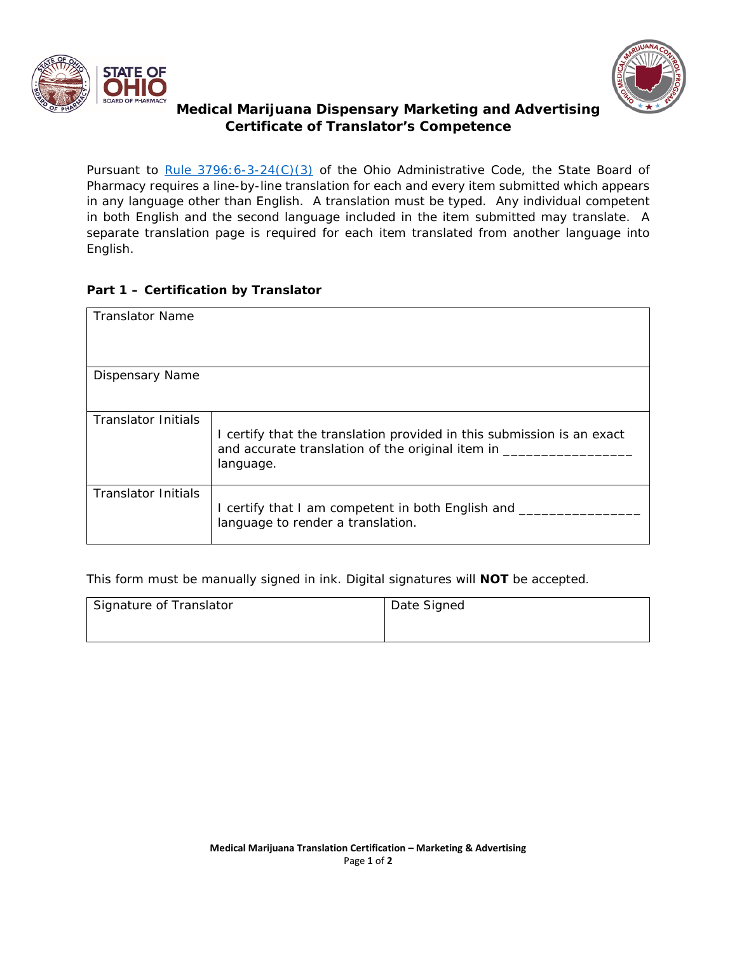



## **Medical Marijuana Dispensary Marketing and Advertising Certificate of Translator's Competence**

*Pursuant to [Rule 3796:6-3-24\(C\)\(3\)](http://codes.ohio.gov/oac/3796:6-3-24v1) of the Ohio Administrative Code, the State Board of Pharmacy requires a line-by-line translation for each and every item submitted which appears in any language other than English. A translation must be typed. Any individual competent in both English and the second language included in the item submitted may translate. A separate translation page is required for each item translated from another language into English.* 

## **Part 1 – Certification by Translator**

| <b>Translator Name</b> |                                                                                                                                           |
|------------------------|-------------------------------------------------------------------------------------------------------------------------------------------|
| Dispensary Name        |                                                                                                                                           |
| Translator Initials    | I certify that the translation provided in this submission is an exact<br>and accurate translation of the original item in _<br>language. |
| Translator Initials    | I certify that I am competent in both English and _<br>language to render a translation.                                                  |

*This form must be manually signed in ink. Digital signatures will NOT be accepted.* 

| Signature of Translator | Date Signed |
|-------------------------|-------------|
|                         |             |